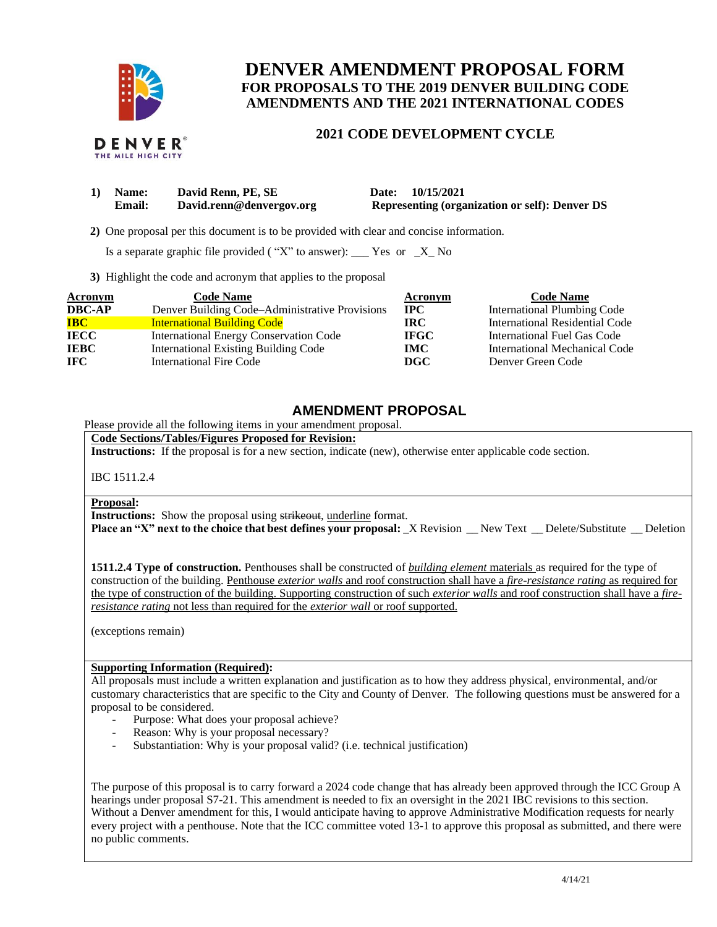

THE MILE HIGH CITY

# **DENVER AMENDMENT PROPOSAL FORM FOR PROPOSALS TO THE 2019 DENVER BUILDING CODE AMENDMENTS AND THE 2021 INTERNATIONAL CODES**

### **2021 CODE DEVELOPMENT CYCLE**

| 1) Name: | David Renn, PE, SE       | Date: 10/15/2021                                      |
|----------|--------------------------|-------------------------------------------------------|
| Email:   | David.renn@denvergov.org | <b>Representing (organization or self): Denver DS</b> |

 **2)** One proposal per this document is to be provided with clear and concise information.

Is a separate graphic file provided ("X" to answer): \_\_\_ Yes or  $-X$  No

**3)** Highlight the code and acronym that applies to the proposal

| Acronym       | <b>Code Name</b>                               | Acronym     | <b>Code Name</b>                   |
|---------------|------------------------------------------------|-------------|------------------------------------|
| <b>DBC-AP</b> | Denver Building Code–Administrative Provisions | $\bf IPC$   | <b>International Plumbing Code</b> |
| <b>IBC</b>    | <b>International Building Code</b>             | IRC-        | International Residential Code     |
| <b>IECC</b>   | <b>International Energy Conservation Code</b>  | <b>IFGC</b> | International Fuel Gas Code        |
| <b>IEBC</b>   | <b>International Existing Building Code</b>    | IMC.        | International Mechanical Code      |
| <b>IFC</b>    | International Fire Code                        | DGC.        | Denver Green Code                  |

# **AMENDMENT PROPOSAL**

Please provide all the following items in your amendment proposal.

**Code Sections/Tables/Figures Proposed for Revision:**

**Instructions:** If the proposal is for a new section, indicate (new), otherwise enter applicable code section.

IBC 1511.2.4

#### **Proposal:**

**Instructions:** Show the proposal using strikeout, underline format.

**Place an "X" next to the choice that best defines your proposal:** \_X Revision \_\_ New Text \_\_ Delete/Substitute \_\_ Deletion

**1511.2.4 Type of construction.** Penthouses shall be constructed of *building element* materials as required for the type of construction of the building. Penthouse *exterior walls* and roof construction shall have a *fire-resistance rating* as required for the type of construction of the building. Supporting construction of such *exterior walls* and roof construction shall have a *fireresistance rating* not less than required for the *exterior wall* or roof supported.

(exceptions remain)

### **Supporting Information (Required):**

All proposals must include a written explanation and justification as to how they address physical, environmental, and/or customary characteristics that are specific to the City and County of Denver. The following questions must be answered for a proposal to be considered.

- Purpose: What does your proposal achieve?
- Reason: Why is your proposal necessary?
- Substantiation: Why is your proposal valid? (i.e. technical justification)

The purpose of this proposal is to carry forward a 2024 code change that has already been approved through the ICC Group A hearings under proposal S7-21. This amendment is needed to fix an oversight in the 2021 IBC revisions to this section. Without a Denver amendment for this, I would anticipate having to approve Administrative Modification requests for nearly every project with a penthouse. Note that the ICC committee voted 13-1 to approve this proposal as submitted, and there were no public comments.